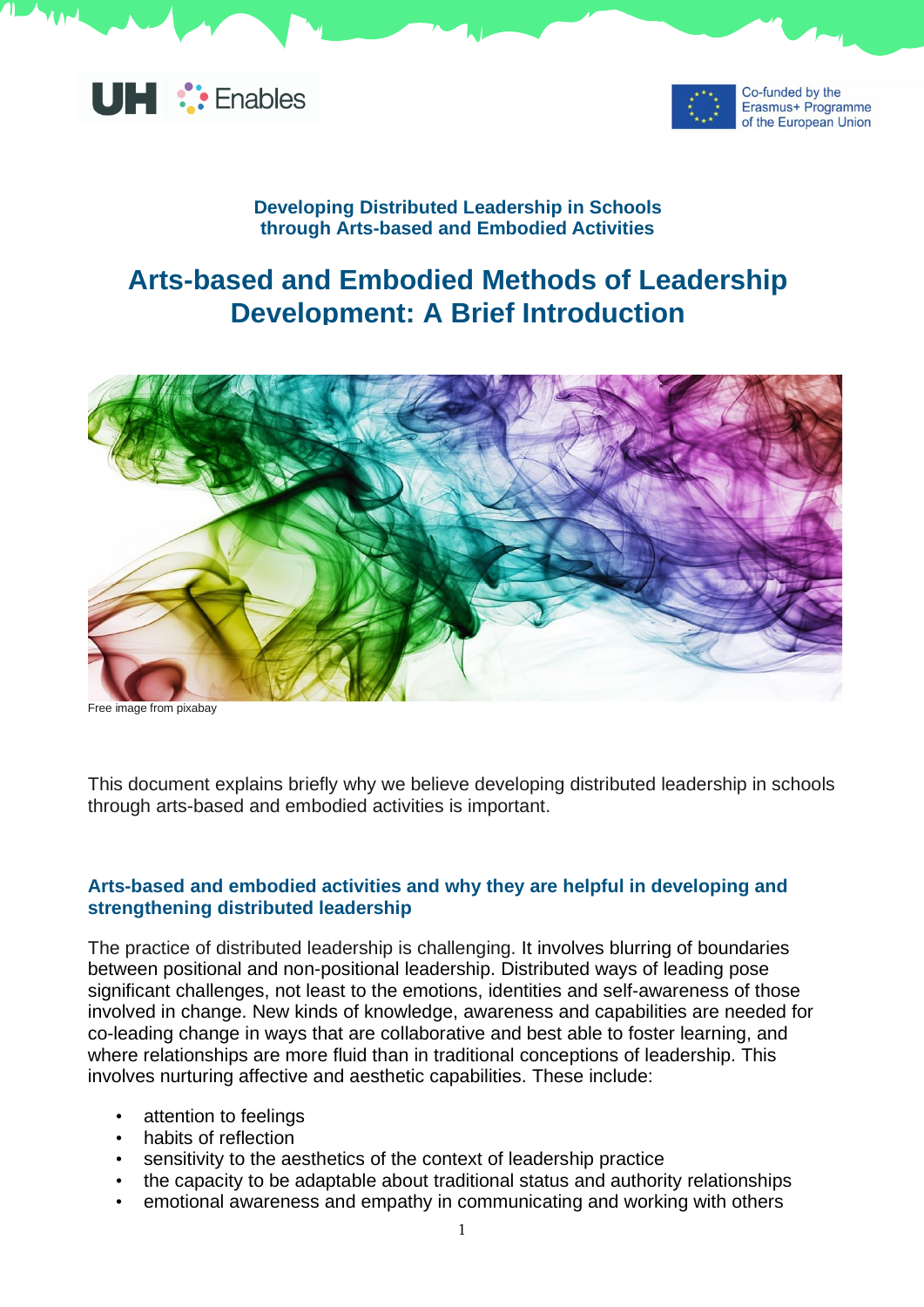



Co-funded by the Erasmus+ Programme of the European Union

## **Developing Distributed Leadership in Schools through Arts-based and Embodied Activities**

## **Arts-based and Embodied Methods of Leadership Development: A Brief Introduction**



Free image from pixabay

This document explains briefly why we believe developing distributed leadership in schools through arts-based and embodied activities is important.

## **Arts-based and embodied activities and why they are helpful in developing and strengthening distributed leadership**

The practice of distributed leadership is challenging. It involves blurring of boundaries between positional and non-positional leadership. Distributed ways of leading pose significant challenges, not least to the emotions, identities and self-awareness of those involved in change. New kinds of knowledge, awareness and capabilities are needed for co-leading change in ways that are collaborative and best able to foster learning, and where relationships are more fluid than in traditional conceptions of leadership. This involves nurturing affective and aesthetic capabilities. These include:

- attention to feelings
- habits of reflection
- sensitivity to the aesthetics of the context of leadership practice
- the capacity to be adaptable about traditional status and authority relationships
- emotional awareness and empathy in communicating and working with others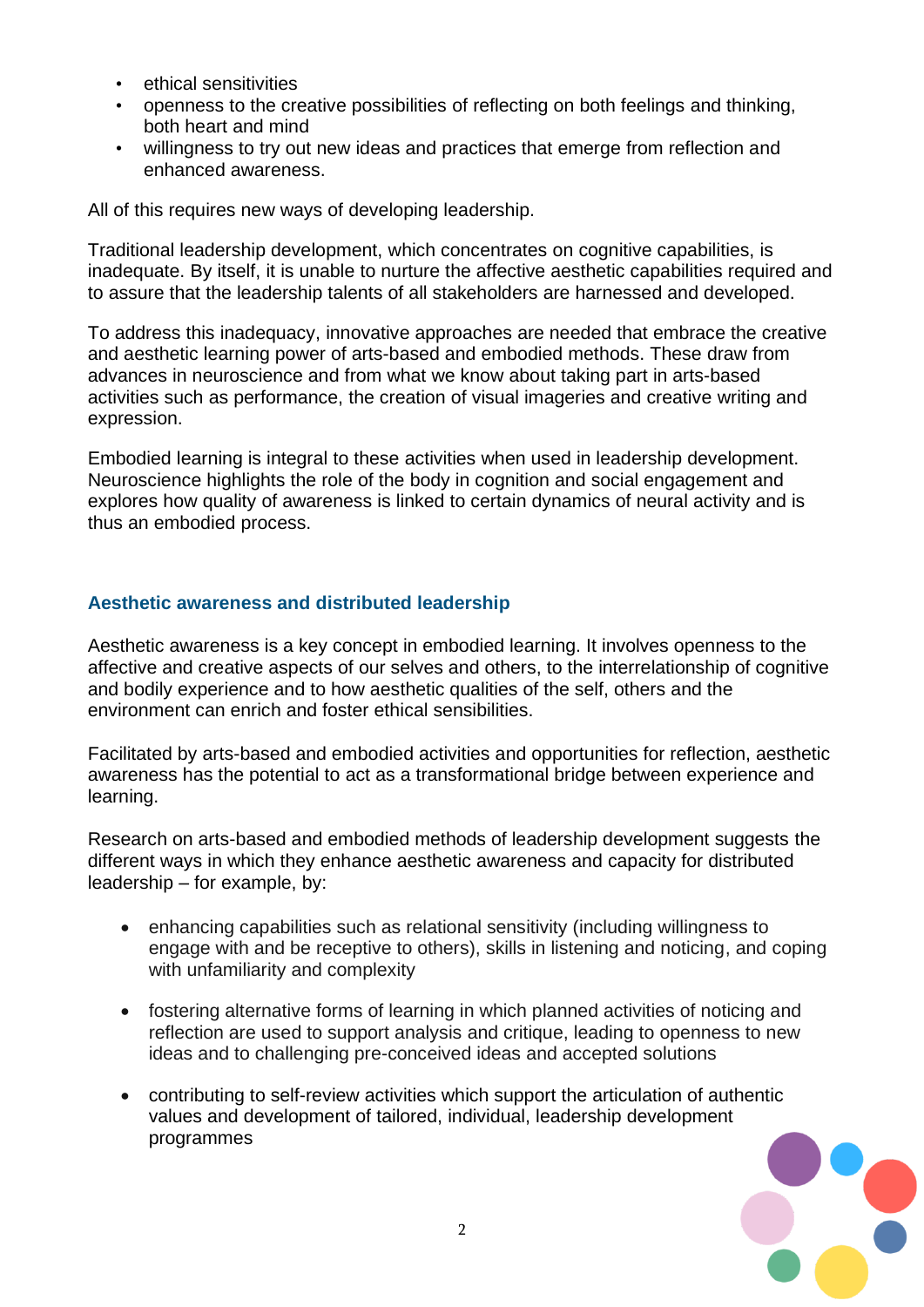- ethical sensitivities
- openness to the creative possibilities of reflecting on both feelings and thinking, both heart and mind
- willingness to try out new ideas and practices that emerge from reflection and enhanced awareness.

All of this requires new ways of developing leadership.

Traditional leadership development, which concentrates on cognitive capabilities, is inadequate. By itself, it is unable to nurture the affective aesthetic capabilities required and to assure that the leadership talents of all stakeholders are harnessed and developed.

To address this inadequacy, innovative approaches are needed that embrace the creative and aesthetic learning power of arts-based and embodied methods. These draw from advances in neuroscience and from what we know about taking part in arts-based activities such as performance, the creation of visual imageries and creative writing and expression.

Embodied learning is integral to these activities when used in leadership development. Neuroscience highlights the role of the body in cognition and social engagement and explores how quality of awareness is linked to certain dynamics of neural activity and is thus an embodied process.

## **Aesthetic awareness and distributed leadership**

Aesthetic awareness is a key concept in embodied learning. It involves openness to the affective and creative aspects of our selves and others, to the interrelationship of cognitive and bodily experience and to how aesthetic qualities of the self, others and the environment can enrich and foster ethical sensibilities.

Facilitated by arts-based and embodied activities and opportunities for reflection, aesthetic awareness has the potential to act as a transformational bridge between experience and learning.

Research on arts-based and embodied methods of leadership development suggests the different ways in which they enhance aesthetic awareness and capacity for distributed leadership – for example, by:

- enhancing capabilities such as relational sensitivity (including willingness to engage with and be receptive to others), skills in listening and noticing, and coping with unfamiliarity and complexity
- fostering alternative forms of learning in which planned activities of noticing and reflection are used to support analysis and critique, leading to openness to new ideas and to challenging pre-conceived ideas and accepted solutions
- contributing to self-review activities which support the articulation of authentic values and development of tailored, individual, leadership development programmes